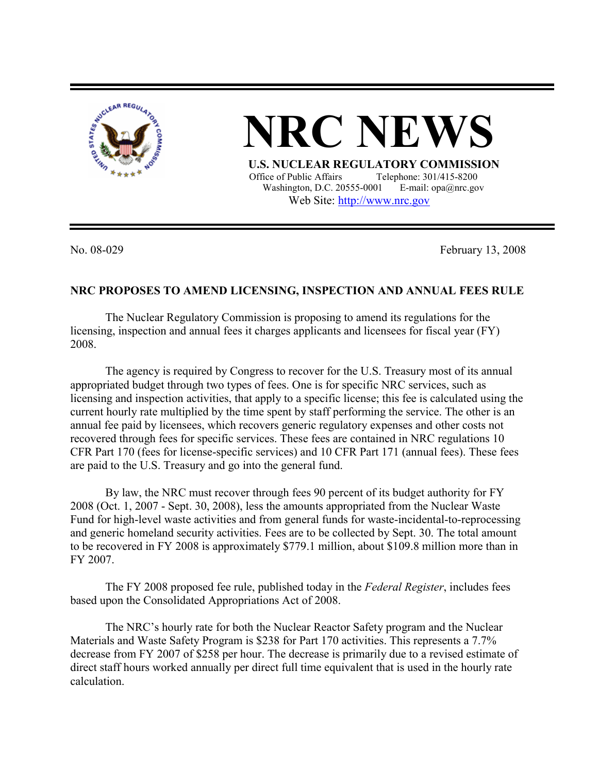

 **NRC NEWS U.S. NUCLEAR REGULATORY COMMISSION**<br>Office of Public Affairs Telephone: 301/415-8200 Telephone: 301/415-8200

Washington, D.C. 20555-0001 E-mail: opa@nrc.gov Web Site: http://www.nrc.gov

No. 08-029 February 13, 2008

## **NRC PROPOSES TO AMEND LICENSING, INSPECTION AND ANNUAL FEES RULE**

The Nuclear Regulatory Commission is proposing to amend its regulations for the licensing, inspection and annual fees it charges applicants and licensees for fiscal year (FY) 2008.

The agency is required by Congress to recover for the U.S. Treasury most of its annual appropriated budget through two types of fees. One is for specific NRC services, such as licensing and inspection activities, that apply to a specific license; this fee is calculated using the current hourly rate multiplied by the time spent by staff performing the service. The other is an annual fee paid by licensees, which recovers generic regulatory expenses and other costs not recovered through fees for specific services. These fees are contained in NRC regulations 10 CFR Part 170 (fees for license-specific services) and 10 CFR Part 171 (annual fees). These fees are paid to the U.S. Treasury and go into the general fund.

By law, the NRC must recover through fees 90 percent of its budget authority for FY 2008 (Oct. 1, 2007 - Sept. 30, 2008), less the amounts appropriated from the Nuclear Waste Fund for high-level waste activities and from general funds for waste-incidental-to-reprocessing and generic homeland security activities. Fees are to be collected by Sept. 30. The total amount to be recovered in FY 2008 is approximately \$779.1 million, about \$109.8 million more than in FY 2007.

The FY 2008 proposed fee rule, published today in the *Federal Register*, includes fees based upon the Consolidated Appropriations Act of 2008.

The NRC's hourly rate for both the Nuclear Reactor Safety program and the Nuclear Materials and Waste Safety Program is \$238 for Part 170 activities. This represents a 7.7% decrease from FY 2007 of \$258 per hour. The decrease is primarily due to a revised estimate of direct staff hours worked annually per direct full time equivalent that is used in the hourly rate calculation.